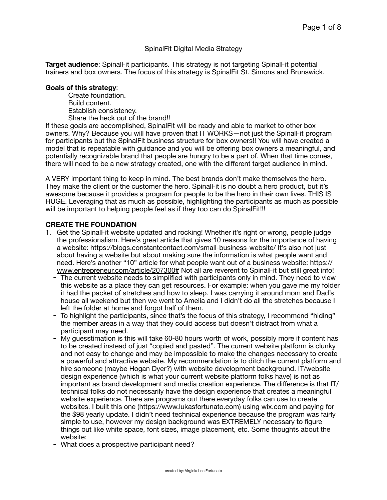## SpinalFit Digital Media Strategy

**Target audience**: SpinalFit participants. This strategy is not targeting SpinalFit potential trainers and box owners. The focus of this strategy is SpinalFit St. Simons and Brunswick.

#### **Goals of this strategy**:

Create foundation. Build content. Establish consistency. Share the heck out of the brand!!

If these goals are accomplished, SpinalFit will be ready and able to market to other box owners. Why? Because you will have proven that IT WORKS—not just the SpinalFit program for participants but the SpinalFit business structure for box owners!! You will have created a model that is repeatable with guidance and you will be offering box owners a meaningful, and potentially recognizable brand that people are hungry to be a part of. When that time comes, there will need to be a new strategy created, one with the different target audience in mind.

A VERY important thing to keep in mind. The best brands don't make themselves the hero. They make the client or the customer the hero. SpinalFit is no doubt a hero product, but it's awesome because it provides a program for people to be the hero in their own lives. THIS IS HUGE. Leveraging that as much as possible, highlighting the participants as much as possible will be important to helping people feel as if they too can do SpinalFit!!!

## **CREATE THE FOUNDATION**

- 1. Get the SpinalFit website updated and rocking! Whether it's right or wrong, people judge the professionalism. Here's great article that gives 10 reasons for the importance of having a website:<https://blogs.constantcontact.com/small-business-website/>It's also not just about having a website but about making sure the information is what people want and need. Here's another "10" article for what people want out of a business website: [https://](https://www.entrepreneur.com/article/207300#) [www.entrepreneur.com/article/207300#](https://www.entrepreneur.com/article/207300#) Not all are reverent to SpinalFit but still great info!
	- The current website needs to simplified with participants only in mind. They need to view this website as a place they can get resources. For example: when you gave me my folder it had the packet of stretches and how to sleep. I was carrying it around mom and Dad's house all weekend but then we went to Amelia and I didn't do all the stretches because I left the folder at home and forgot half of them.
	- To highlight the participants, since that's the focus of this strategy, I recommend "hiding" the member areas in a way that they could access but doesn't distract from what a participant may need.
	- My guesstimation is this will take 60-80 hours worth of work, possibly more if content has to be created instead of just "copied and pasted". The current website platform is clunky and not easy to change and may be impossible to make the changes necessary to create a powerful and attractive website. My recommendation is to ditch the current platform and hire someone (maybe Hogan Dyer?) with website development background. IT/website design experience (which is what your current website platform folks have) is not as important as brand development and media creation experience. The difference is that IT/ technical folks do not necessarily have the design experience that creates a meaningful website experience. There are programs out there everyday folks can use to create websites. I built this one [\(https://www.lukasfortunato.com](https://www.lukasfortunato.com)) using [wix.com](http://wix.com) and paying for the \$98 yearly update. I didn't need technical experience because the program was fairly simple to use, however my design background was EXTREMELY necessary to figure things out like white space, font sizes, image placement, etc. Some thoughts about the website:
	- What does a prospective participant need?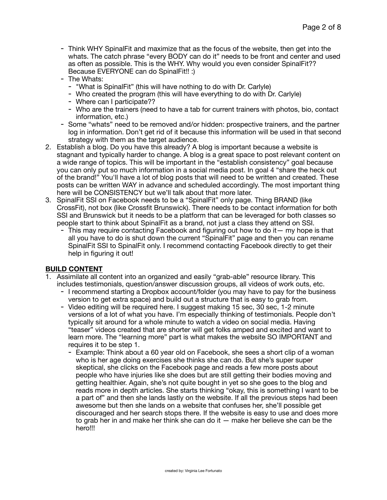- Think WHY SpinalFit and maximize that as the focus of the website, then get into the whats. The catch phrase "every BODY can do it" needs to be front and center and used as often as possible. This is the WHY. Why would you even consider SpinalFit?? Because EVERYONE can do SpinalFit!! :)
- The Whats:
	- "What is SpinalFit" (this will have nothing to do with Dr. Carlyle)
	- Who created the program (this will have everything to do with Dr. Carlyle)
	- Where can I participate??
	- Who are the trainers (need to have a tab for current trainers with photos, bio, contact information, etc.)
- Some "whats" need to be removed and/or hidden: prospective trainers, and the partner log in information. Don't get rid of it because this information will be used in that second strategy with them as the target audience.
- 2. Establish a blog. Do you have this already? A blog is important because a website is stagnant and typically harder to change. A blog is a great space to post relevant content on a wide range of topics. This will be important in the "establish consistency" goal because you can only put so much information in a social media post. In goal 4 "share the heck out of the brand!" You'll have a lot of blog posts that will need to be written and created. These posts can be written WAY in advance and scheduled accordingly. The most important thing here will be CONSISTENCY but we'll talk about that more later.
- 3. SpinalFit SSI on Facebook needs to be a "SpinalFit" only page. Thing BRAND (like CrossFit), not box (like Crossfit Brunswick). There needs to be contact information for both SSI and Brunswick but it needs to be a platform that can be leveraged for both classes so people start to think about SpinalFit as a brand, not just a class they attend on SSI.
	- This may require contacting Facebook and figuring out how to do it— my hope is that all you have to do is shut down the current "SpinalFit" page and then you can rename SpinalFit SSI to SpinalFit only. I recommend contacting Facebook directly to get their help in figuring it out!

# **BUILD CONTENT**

- 1. Assimilate all content into an organized and easily "grab-able" resource library. This includes testimonials, question/answer discussion groups, all videos of work outs, etc.
	- I recommend starting a Dropbox account/folder (you may have to pay for the business version to get extra space) and build out a structure that is easy to grab from.
	- Video editing will be required here. I suggest making 15 sec, 30 sec, 1-2 minute versions of a lot of what you have. I'm especially thinking of testimonials. People don't typically sit around for a whole minute to watch a video on social media. Having "teaser" videos created that are shorter will get folks amped and excited and want to learn more. The "learning more" part is what makes the website SO IMPORTANT and requires it to be step 1.
		- Example: Think about a 60 year old on Facebook, she sees a short clip of a woman who is her age doing exercises she thinks she can do. But she's super super skeptical, she clicks on the Facebook page and reads a few more posts about people who have injuries like she does but are still getting their bodies moving and getting healthier. Again, she's not quite bought in yet so she goes to the blog and reads more in depth articles. She starts thinking "okay, this is something I want to be a part of" and then she lands lastly on the website. If all the previous steps had been awesome but then she lands on a website that confuses her, she'll possible get discouraged and her search stops there. If the website is easy to use and does more to grab her in and make her think she can do it — make her believe she can be the hero!!!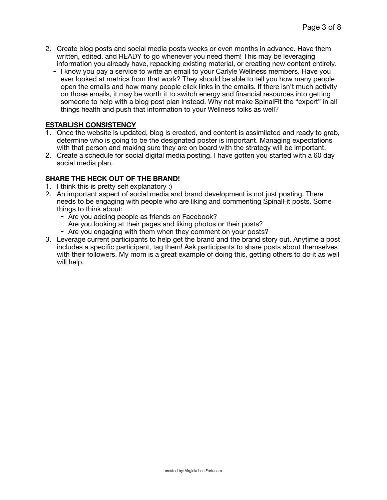- 2. Create blog posts and social media posts weeks or even months in advance. Have them written, edited, and READY to go whenever you need them! This may be leveraging information you already have, repacking existing material, or creating new content entirely.
	- I know you pay a service to write an email to your Carlyle Wellness members. Have you ever looked at metrics from that work? They should be able to tell you how many people open the emails and how many people click links in the emails. If there isn't much activity on those emails, it may be worth it to switch energy and financial resources into getting someone to help with a blog post plan instead. Why not make SpinalFit the "expert" in all things health and push that information to your Wellness folks as well?

## **ESTABLISH CONSISTENCY**

- 1. Once the website is updated, blog is created, and content is assimilated and ready to grab, determine who is going to be the designated poster is important. Managing expectations with that person and making sure they are on board with the strategy will be important.
- 2. Create a schedule for social digital media posting. I have gotten you started with a 60 day social media plan.

# **SHARE THE HECK OUT OF THE BRAND!**

- 1. I think this is pretty self explanatory :)
- 2. An important aspect of social media and brand development is not just posting. There needs to be engaging with people who are liking and commenting SpinalFit posts. Some things to think about:
	- Are you adding people as friends on Facebook?
	- Are you looking at their pages and liking photos or their posts?
	- Are you engaging with them when they comment on your posts?
- 3. Leverage current participants to help get the brand and the brand story out. Anytime a post includes a specific participant, tag them! Ask participants to share posts about themselves with their followers. My mom is a great example of doing this, getting others to do it as well will help.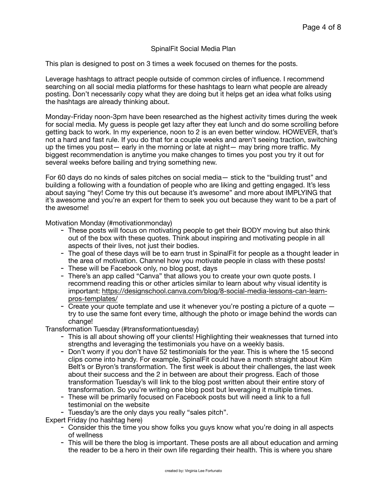## SpinalFit Social Media Plan

This plan is designed to post on 3 times a week focused on themes for the posts.

Leverage hashtags to attract people outside of common circles of influence. I recommend searching on all social media platforms for these hashtags to learn what people are already posting. Don't necessarily copy what they are doing but it helps get an idea what folks using the hashtags are already thinking about.

Monday-Friday noon-3pm have been researched as the highest activity times during the week for social media. My guess is people get lazy after they eat lunch and do some scrolling before getting back to work. In my experience, noon to 2 is an even better window. HOWEVER, that's not a hard and fast rule. If you do that for a couple weeks and aren't seeing traction, switching up the times you post— early in the morning or late at night— may bring more traffic. My biggest recommendation is anytime you make changes to times you post you try it out for several weeks before bailing and trying something new.

For 60 days do no kinds of sales pitches on social media— stick to the "building trust" and building a following with a foundation of people who are liking and getting engaged. It's less about saying "hey! Come try this out because it's awesome" and more about IMPLYING that it's awesome and you're an expert for them to seek you out because they want to be a part of the awesome!

Motivation Monday (#motivationmonday)

- These posts will focus on motivating people to get their BODY moving but also think out of the box with these quotes. Think about inspiring and motivating people in all aspects of their lives, not just their bodies.
- The goal of these days will be to earn trust in SpinalFit for people as a thought leader in the area of motivation. Channel how you motivate people in class with these posts!
- These will be Facebook only, no blog post, days
- There's an app called "Canva" that allows you to create your own quote posts. I recommend reading this or other articles similar to learn about why visual identity is [important: https://designschool.canva.com/blog/8-social-media-lessons-can-learn](https://designschool.canva.com/blog/8-social-media-lessons-can-learn-pros-templates/)[pros-templates/](https://designschool.canva.com/blog/8-social-media-lessons-can-learn-pros-templates/)
- Create your quote template and use it whenever you're posting a picture of a quote  $$ try to use the same font every time, although the photo or image behind the words can change!

Transformation Tuesday (#transformationtuesday)

- This is all about showing off your clients! Highlighting their weaknesses that turned into strengths and leveraging the testimonials you have on a weekly basis.
- Don't worry if you don't have 52 testimonials for the year. This is where the 15 second clips come into handy. For example, SpinalFit could have a month straight about Kim Belt's or Byron's transformation. The first week is about their challenges, the last week about their success and the 2 in between are about their progress. Each of those transformation Tuesday's will link to the blog post written about their entire story of transformation. So you're writing one blog post but leveraging it multiple times.
- These will be primarily focused on Facebook posts but will need a link to a full testimonial on the website
- Tuesday's are the only days you really "sales pitch".

Expert Friday (no hashtag here)

- Consider this the time you show folks you guys know what you're doing in all aspects of wellness
- This will be there the blog is important. These posts are all about education and arming the reader to be a hero in their own life regarding their health. This is where you share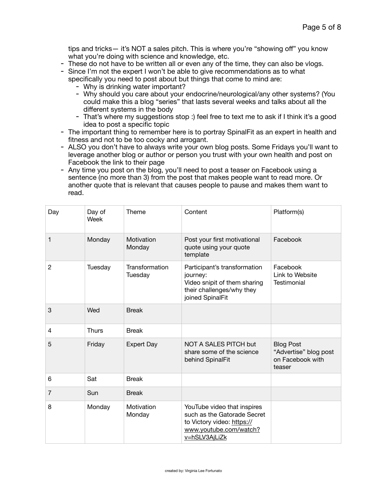tips and tricks— it's NOT a sales pitch. This is where you're "showing off" you know what you're doing with science and knowledge, etc.

- These do not have to be written all or even any of the time, they can also be vlogs.
- Since I'm not the expert I won't be able to give recommendations as to what specifically you need to post about but things that come to mind are:
	- Why is drinking water important?
	- Why should you care about your endocrine/neurological/any other systems? (You could make this a blog "series" that lasts several weeks and talks about all the different systems in the body
	- That's where my suggestions stop :) feel free to text me to ask if I think it's a good idea to post a specific topic
- The important thing to remember here is to portray SpinalFit as an expert in health and fitness and not to be too cocky and arrogant.
- ALSO you don't have to always write your own blog posts. Some Fridays you'll want to leverage another blog or author or person you trust with your own health and post on Facebook the link to their page
- Any time you post on the blog, you'll need to post a teaser on Facebook using a sentence (no more than 3) from the post that makes people want to read more. Or another quote that is relevant that causes people to pause and makes them want to read.

| Day            | Day of<br>Week | Theme                     | Content                                                                                                                             | Platform(s)                                                             |
|----------------|----------------|---------------------------|-------------------------------------------------------------------------------------------------------------------------------------|-------------------------------------------------------------------------|
| 1              | Monday         | Motivation<br>Monday      | Post your first motivational<br>quote using your quote<br>template                                                                  | Facebook                                                                |
| $\overline{c}$ | Tuesday        | Transformation<br>Tuesday | Participant's transformation<br>journey:<br>Video snipit of them sharing<br>their challenges/why they<br>joined SpinalFit           | Facebook<br>Link to Website<br><b>Testimonial</b>                       |
| 3              | Wed            | <b>Break</b>              |                                                                                                                                     |                                                                         |
| 4              | <b>Thurs</b>   | <b>Break</b>              |                                                                                                                                     |                                                                         |
| 5              | Friday         | <b>Expert Day</b>         | <b>NOT A SALES PITCH but</b><br>share some of the science<br>behind SpinalFit                                                       | <b>Blog Post</b><br>"Advertise" blog post<br>on Facebook with<br>teaser |
| 6              | Sat            | <b>Break</b>              |                                                                                                                                     |                                                                         |
| $\overline{7}$ | Sun            | <b>Break</b>              |                                                                                                                                     |                                                                         |
| 8              | Monday         | Motivation<br>Monday      | YouTube video that inspires<br>such as the Gatorade Secret<br>to Victory video: https://<br>www.youtube.com/watch?<br>v=hSLV3AjLiZk |                                                                         |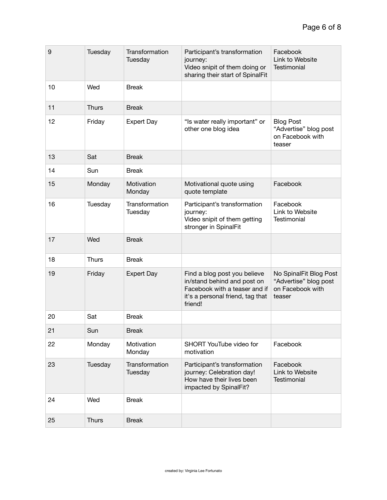| 9  | Tuesday      | Transformation<br>Tuesday | Participant's transformation<br>journey:<br>Video snipit of them doing or<br>sharing their start of SpinalFit                               | Facebook<br>Link to Website<br><b>Testimonial</b>                             |
|----|--------------|---------------------------|---------------------------------------------------------------------------------------------------------------------------------------------|-------------------------------------------------------------------------------|
| 10 | Wed          | <b>Break</b>              |                                                                                                                                             |                                                                               |
| 11 | <b>Thurs</b> | <b>Break</b>              |                                                                                                                                             |                                                                               |
| 12 | Friday       | <b>Expert Day</b>         | "Is water really important" or<br>other one blog idea                                                                                       | <b>Blog Post</b><br>"Advertise" blog post<br>on Facebook with<br>teaser       |
| 13 | Sat          | <b>Break</b>              |                                                                                                                                             |                                                                               |
| 14 | Sun          | <b>Break</b>              |                                                                                                                                             |                                                                               |
| 15 | Monday       | Motivation<br>Monday      | Motivational quote using<br>quote template                                                                                                  | Facebook                                                                      |
| 16 | Tuesday      | Transformation<br>Tuesday | Participant's transformation<br>journey:<br>Video snipit of them getting<br>stronger in SpinalFit                                           | Facebook<br>Link to Website<br>Testimonial                                    |
| 17 | Wed          | <b>Break</b>              |                                                                                                                                             |                                                                               |
| 18 | <b>Thurs</b> | <b>Break</b>              |                                                                                                                                             |                                                                               |
| 19 | Friday       | <b>Expert Day</b>         | Find a blog post you believe<br>in/stand behind and post on<br>Facebook with a teaser and if<br>it's a personal friend, tag that<br>friend! | No SpinalFit Blog Post<br>"Advertise" blog post<br>on Facebook with<br>teaser |
| 20 | Sat          | <b>Break</b>              |                                                                                                                                             |                                                                               |
| 21 | Sun          | <b>Break</b>              |                                                                                                                                             |                                                                               |
| 22 | Monday       | Motivation<br>Monday      | SHORT YouTube video for<br>motivation                                                                                                       | Facebook                                                                      |
| 23 | Tuesday      | Transformation<br>Tuesday | Participant's transformation<br>journey: Celebration day!<br>How have their lives been<br>impacted by SpinalFit?                            | Facebook<br>Link to Website<br><b>Testimonial</b>                             |
| 24 | Wed          | <b>Break</b>              |                                                                                                                                             |                                                                               |
| 25 | <b>Thurs</b> | <b>Break</b>              |                                                                                                                                             |                                                                               |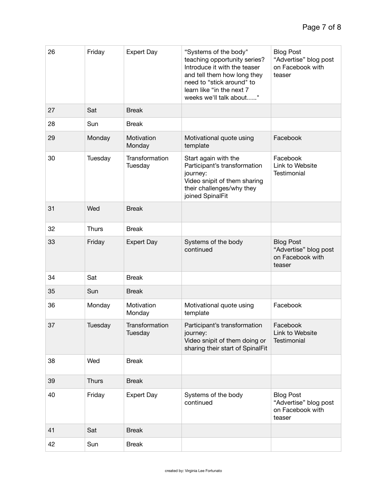| 26 | Friday       | <b>Expert Day</b>         | "Systems of the body"<br>teaching opportunity series?<br>Introduce it with the teaser<br>and tell them how long they<br>need to "stick around" to<br>learn like "in the next 7<br>weeks we'll talk about" | <b>Blog Post</b><br>"Advertise" blog post<br>on Facebook with<br>teaser |
|----|--------------|---------------------------|-----------------------------------------------------------------------------------------------------------------------------------------------------------------------------------------------------------|-------------------------------------------------------------------------|
| 27 | Sat          | <b>Break</b>              |                                                                                                                                                                                                           |                                                                         |
| 28 | Sun          | <b>Break</b>              |                                                                                                                                                                                                           |                                                                         |
| 29 | Monday       | Motivation<br>Monday      | Motivational quote using<br>template                                                                                                                                                                      | Facebook                                                                |
| 30 | Tuesday      | Transformation<br>Tuesday | Start again with the<br>Participant's transformation<br>journey:<br>Video snipit of them sharing<br>their challenges/why they<br>joined SpinalFit                                                         | Facebook<br>Link to Website<br>Testimonial                              |
| 31 | Wed          | <b>Break</b>              |                                                                                                                                                                                                           |                                                                         |
| 32 | <b>Thurs</b> | <b>Break</b>              |                                                                                                                                                                                                           |                                                                         |
| 33 | Friday       | <b>Expert Day</b>         | Systems of the body<br>continued                                                                                                                                                                          | <b>Blog Post</b><br>"Advertise" blog post<br>on Facebook with<br>teaser |
| 34 | Sat          | <b>Break</b>              |                                                                                                                                                                                                           |                                                                         |
| 35 | Sun          | <b>Break</b>              |                                                                                                                                                                                                           |                                                                         |
| 36 | Monday       | Motivation<br>Monday      | Motivational quote using<br>template                                                                                                                                                                      | Facebook                                                                |
| 37 | Tuesday      | Transformation<br>Tuesday | Participant's transformation<br>journey:<br>Video snipit of them doing or<br>sharing their start of SpinalFit                                                                                             | Facebook<br>Link to Website<br>Testimonial                              |
| 38 | Wed          | <b>Break</b>              |                                                                                                                                                                                                           |                                                                         |
| 39 | <b>Thurs</b> | <b>Break</b>              |                                                                                                                                                                                                           |                                                                         |
| 40 | Friday       | <b>Expert Day</b>         | Systems of the body<br>continued                                                                                                                                                                          | <b>Blog Post</b><br>"Advertise" blog post<br>on Facebook with<br>teaser |
| 41 | Sat          | <b>Break</b>              |                                                                                                                                                                                                           |                                                                         |
| 42 | Sun          | <b>Break</b>              |                                                                                                                                                                                                           |                                                                         |